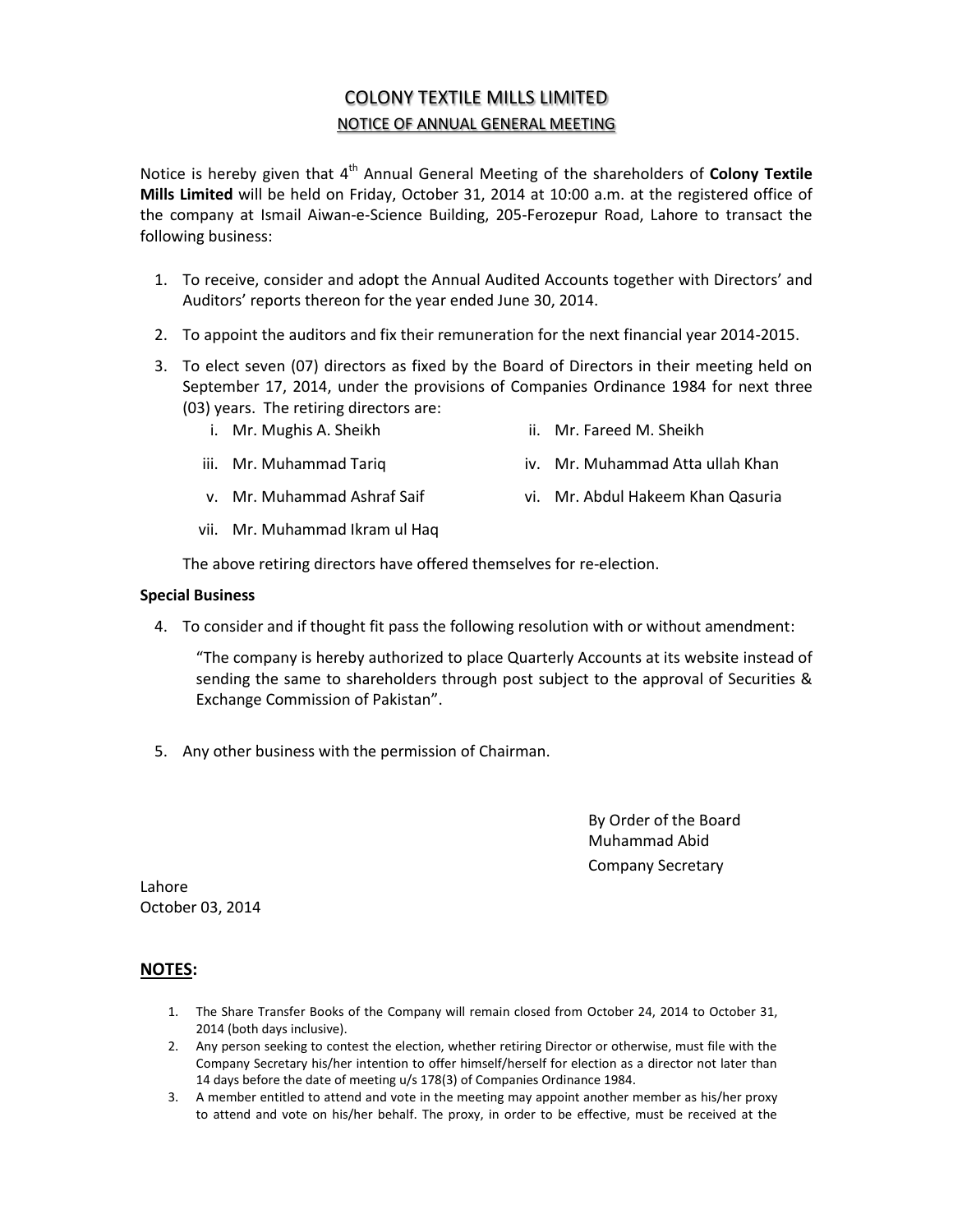## COLONY TEXTILE MILLS LIMITED NOTICE OF ANNUAL GENERAL MEETING

Notice is hereby given that 4<sup>th</sup> Annual General Meeting of the shareholders of Colony Textile **Mills Limited** will be held on Friday, October 31, 2014 at 10:00 a.m. at the registered office of the company at Ismail Aiwan-e-Science Building, 205-Ferozepur Road, Lahore to transact the following business:

- 1. To receive, consider and adopt the Annual Audited Accounts together with Directors' and Auditors' reports thereon for the year ended June 30, 2014.
- 2. To appoint the auditors and fix their remuneration for the next financial year 2014-2015.
- 3. To elect seven (07) directors as fixed by the Board of Directors in their meeting held on September 17, 2014, under the provisions of Companies Ordinance 1984 for next three (03) years. The retiring directors are:
	- i. Mr. Mughis A. Sheikh ii. Mr. Fareed M. Sheikh
		-
	- iii. Mr. Muhammad Tariq iv. Mr. Muhammad Atta ullah Khan
	-
	- v. Mr. Muhammad Ashraf Saif vi. Mr. Abdul Hakeem Khan Qasuria
	- vii. Mr. Muhammad Ikram ul Haq

The above retiring directors have offered themselves for re-election.

## **Special Business**

4. To consider and if thought fit pass the following resolution with or without amendment:

"The company is hereby authorized to place Quarterly Accounts at its website instead of sending the same to shareholders through post subject to the approval of Securities & Exchange Commission of Pakistan".

5. Any other business with the permission of Chairman.

By Order of the Board Muhammad Abid Company Secretary

Lahore October 03, 2014

## **NOTES:**

- 1. The Share Transfer Books of the Company will remain closed from October 24, 2014 to October 31, 2014 (both days inclusive).
- 2. Any person seeking to contest the election, whether retiring Director or otherwise, must file with the Company Secretary his/her intention to offer himself/herself for election as a director not later than 14 days before the date of meeting u/s 178(3) of Companies Ordinance 1984.
- 3. A member entitled to attend and vote in the meeting may appoint another member as his/her proxy to attend and vote on his/her behalf. The proxy, in order to be effective, must be received at the